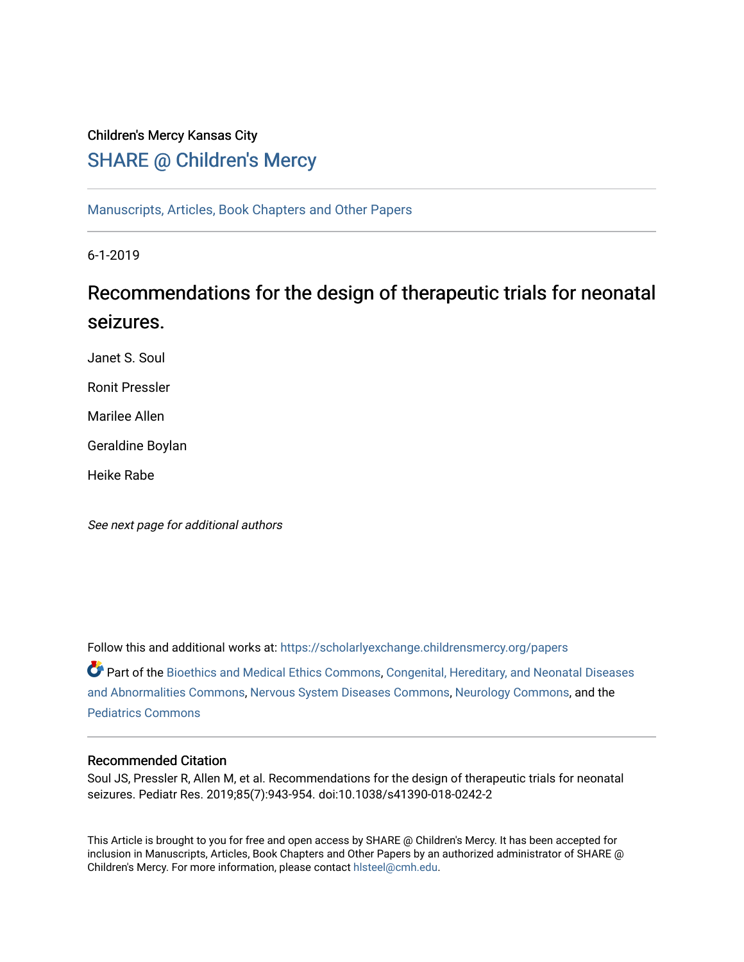# Children's Mercy Kansas City

# SHARE @ Children's Mercy

[Manuscripts, Articles, Book Chapters and Other Papers](https://scholarlyexchange.childrensmercy.org/papers)

6-1-2019

# Recommendations for the design of therapeutic trials for neonatal seizures.

Janet S. Soul Ronit Pressler

Marilee Allen

Geraldine Boylan

Heike Rabe

See next page for additional authors

Follow this and additional works at: [https://scholarlyexchange.childrensmercy.org/papers](https://scholarlyexchange.childrensmercy.org/papers?utm_source=scholarlyexchange.childrensmercy.org%2Fpapers%2F1320&utm_medium=PDF&utm_campaign=PDFCoverPages) 

Part of the [Bioethics and Medical Ethics Commons,](http://network.bepress.com/hgg/discipline/650?utm_source=scholarlyexchange.childrensmercy.org%2Fpapers%2F1320&utm_medium=PDF&utm_campaign=PDFCoverPages) [Congenital, Hereditary, and Neonatal Diseases](http://network.bepress.com/hgg/discipline/971?utm_source=scholarlyexchange.childrensmercy.org%2Fpapers%2F1320&utm_medium=PDF&utm_campaign=PDFCoverPages) [and Abnormalities Commons,](http://network.bepress.com/hgg/discipline/971?utm_source=scholarlyexchange.childrensmercy.org%2Fpapers%2F1320&utm_medium=PDF&utm_campaign=PDFCoverPages) [Nervous System Diseases Commons](http://network.bepress.com/hgg/discipline/928?utm_source=scholarlyexchange.childrensmercy.org%2Fpapers%2F1320&utm_medium=PDF&utm_campaign=PDFCoverPages), [Neurology Commons,](http://network.bepress.com/hgg/discipline/692?utm_source=scholarlyexchange.childrensmercy.org%2Fpapers%2F1320&utm_medium=PDF&utm_campaign=PDFCoverPages) and the [Pediatrics Commons](http://network.bepress.com/hgg/discipline/700?utm_source=scholarlyexchange.childrensmercy.org%2Fpapers%2F1320&utm_medium=PDF&utm_campaign=PDFCoverPages)

# Recommended Citation

Soul JS, Pressler R, Allen M, et al. Recommendations for the design of therapeutic trials for neonatal seizures. Pediatr Res. 2019;85(7):943-954. doi:10.1038/s41390-018-0242-2

This Article is brought to you for free and open access by SHARE @ Children's Mercy. It has been accepted for inclusion in Manuscripts, Articles, Book Chapters and Other Papers by an authorized administrator of SHARE @ Children's Mercy. For more information, please contact [hlsteel@cmh.edu](mailto:hlsteel@cmh.edu).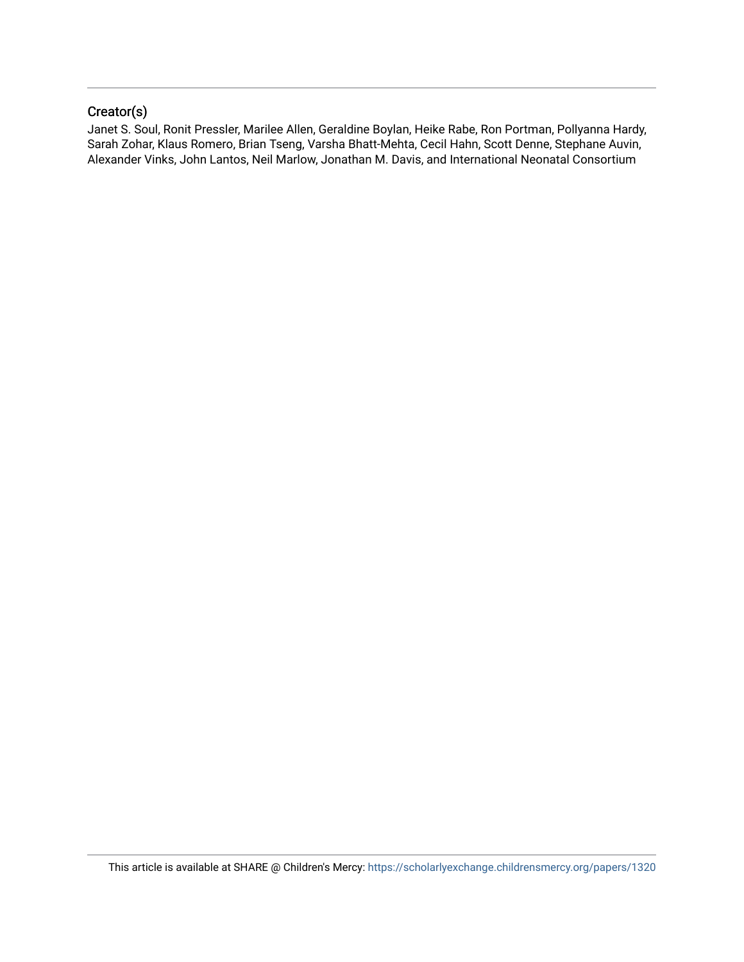# Creator(s)

Janet S. Soul, Ronit Pressler, Marilee Allen, Geraldine Boylan, Heike Rabe, Ron Portman, Pollyanna Hardy, Sarah Zohar, Klaus Romero, Brian Tseng, Varsha Bhatt-Mehta, Cecil Hahn, Scott Denne, Stephane Auvin, Alexander Vinks, John Lantos, Neil Marlow, Jonathan M. Davis, and International Neonatal Consortium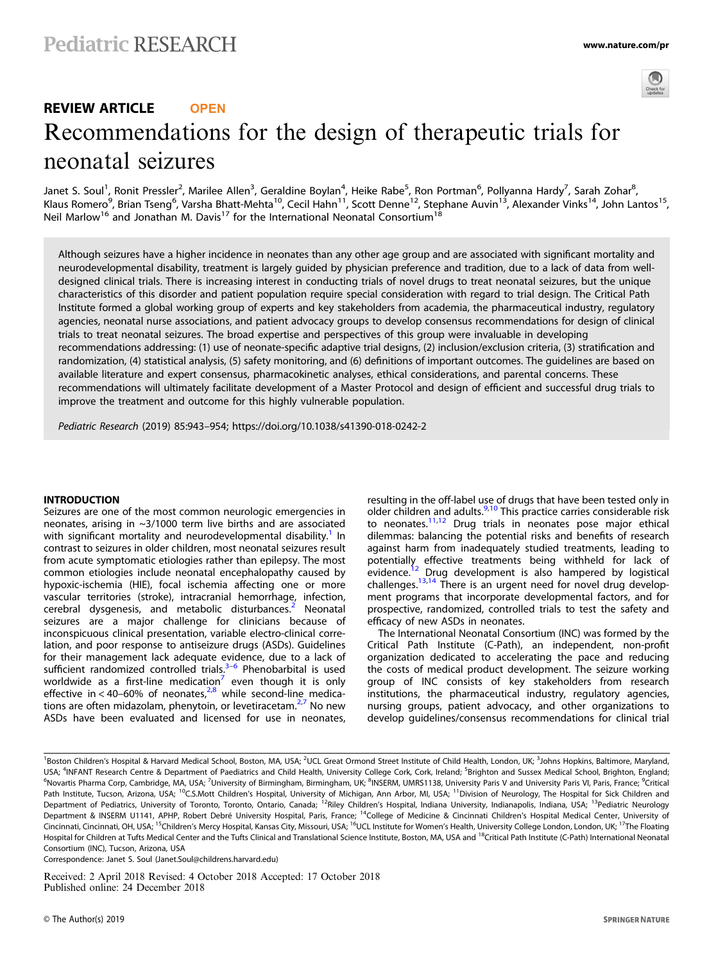

# REVIEW ARTICLE **OPEN** Recommendations for the design of therapeutic trials for neonatal seizures

Janet S. Soul<sup>1</sup>, Ronit Pressler<sup>2</sup>, Marilee Allen<sup>3</sup>, Geraldine Boylan<sup>4</sup>, Heike Rabe<sup>5</sup>, Ron Portman<sup>6</sup>, Pollyanna Hardy<sup>7</sup>, Sarah Zohar<sup>8</sup>, Klaus Romero<sup>9</sup>, Brian Tseng<sup>6</sup>, Varsha Bhatt-Mehta<sup>10</sup>, Cecil Hahn<sup>11</sup>, Scott Denne<sup>12</sup>, Stephane Auvin<sup>13</sup>, Alexander Vinks<sup>14</sup>, John Lantos<sup>15</sup>, Neil Marlow<sup>16</sup> and Jonathan M. Davis<sup>17</sup> for the International Neonatal Consortium<sup>1</sup>

Although seizures have a higher incidence in neonates than any other age group and are associated with significant mortality and neurodevelopmental disability, treatment is largely guided by physician preference and tradition, due to a lack of data from welldesigned clinical trials. There is increasing interest in conducting trials of novel drugs to treat neonatal seizures, but the unique characteristics of this disorder and patient population require special consideration with regard to trial design. The Critical Path Institute formed a global working group of experts and key stakeholders from academia, the pharmaceutical industry, regulatory agencies, neonatal nurse associations, and patient advocacy groups to develop consensus recommendations for design of clinical trials to treat neonatal seizures. The broad expertise and perspectives of this group were invaluable in developing recommendations addressing: (1) use of neonate-specific adaptive trial designs, (2) inclusion/exclusion criteria, (3) stratification and randomization, (4) statistical analysis, (5) safety monitoring, and (6) definitions of important outcomes. The guidelines are based on available literature and expert consensus, pharmacokinetic analyses, ethical considerations, and parental concerns. These recommendations will ultimately facilitate development of a Master Protocol and design of efficient and successful drug trials to improve the treatment and outcome for this highly vulnerable population.

Pediatric Research (2019) 85:943–954; https://doi.org/10.1038/s41390-018-0242-2

#### INTRODUCTION

Seizures are one of the most common neurologic emergencies in neonates, arising in ~3/1000 term live births and are associated with significant mortality and neurodevelopmental disability.<sup>[1](#page-11-0)</sup> In contrast to seizures in older children, most neonatal seizures result from acute symptomatic etiologies rather than epilepsy. The most common etiologies include neonatal encephalopathy caused by hypoxic-ischemia (HIE), focal ischemia affecting one or more vascular territories (stroke), intracranial hemorrhage, infection, cerebral dysgenesis, and metabolic disturbances.<sup>[2](#page-11-0)</sup> Neonatal seizures are a major challenge for clinicians because of inconspicuous clinical presentation, variable electro-clinical correlation, and poor response to antiseizure drugs (ASDs). Guidelines for their management lack adequate evidence, due to a lack of sufficient randomized controlled trials. $3-6$  $3-6$  $3-6$  Phenobarbital is used worldwide as a first-line medication<sup>[7](#page-12-0)</sup> even though it is only effective in < 40–60% of neonates,<sup>[2](#page-11-0),[8](#page-12-0)</sup> while second-line medications are often midazolam, phenytoin, or levetiracetam. $27$  $27$  No new ASDs have been evaluated and licensed for use in neonates,

resulting in the off-label use of drugs that have been tested only in older children and adults.<sup>[9,10](#page-12-0)</sup> This practice carries considerable risk to neonates.[11,12](#page-12-0) Drug trials in neonates pose major ethical dilemmas: balancing the potential risks and benefits of research against harm from inadequately studied treatments, leading to potentially effective treatments being withheld for lack of evidence.<sup>12</sup> Drug development is also hampered by logistical challenges.<sup>[13](#page-12-0),[14](#page-12-0)</sup> There is an urgent need for novel drug development programs that incorporate developmental factors, and for prospective, randomized, controlled trials to test the safety and efficacy of new ASDs in neonates.

The International Neonatal Consortium (INC) was formed by the Critical Path Institute (C-Path), an independent, non-profit organization dedicated to accelerating the pace and reducing the costs of medical product development. The seizure working group of INC consists of key stakeholders from research institutions, the pharmaceutical industry, regulatory agencies, nursing groups, patient advocacy, and other organizations to develop guidelines/consensus recommendations for clinical trial

Correspondence: Janet S. Soul [\(Janet.Soul@childrens.harvard.edu\)](mailto:Janet.Soul@childrens.harvard.edu)

Received: 2 April 2018 Revised: 4 October 2018 Accepted: 17 October 2018 Published online: 24 December 2018

<sup>&</sup>lt;sup>1</sup>Boston Children's Hospital & Harvard Medical School, Boston, MA, USA; <sup>2</sup>UCL Great Ormond Street Institute of Child Health, London, UK; <sup>3</sup>Johns Hopkins, Baltimore, Maryland, USA; <sup>4</sup>INFANT Research Centre & Department of Paediatrics and Child Health, University College Cork, Cork, Ireland; <sup>5</sup>Brighton and Sussex Medical School, Brighton, England; <sup>6</sup>Novartis Pharma Corp, Cambridge, MA, USA; <sup>7</sup>University of Birmingham, Birmingham, UK; <sup>8</sup>INSERM, UMRS1138, University Paris V and University Paris VI, Paris, France; <sup>9</sup>Critical Path Institute, Tucson, Arizona, USA; <sup>10</sup>C.S.Mott Children's Hospital, University of Michigan, Ann Arbor, MI, USA; <sup>11</sup>Division of Neurology, The Hospital for Sick Children and Department of Pediatrics, University of Toronto, Toronto, Ontario, Canada; <sup>12</sup>Riley Children's Hospital, Indiana University, Indianapolis, Indiana, USA; <sup>13</sup>Pediatric Neurology Department & INSERM U1141, APHP, Robert Debré University Hospital, Paris, France; <sup>14</sup>College of Medicine & Cincinnati Children's Hospital Medical Center, University of Cincinnati, Cincinnati, OH, USA; <sup>15</sup>Children's Mercy Hospital, Kansas City, Missouri, USA; <sup>16</sup>UCL Institute for Women's Health, University College London, London, UK; <sup>17</sup>The Floating Hospital for Children at Tufts Medical Center and the Tufts Clinical and Translational Science Institute, Boston, MA, USA and <sup>18</sup>Critical Path Institute (C-Path) International Neonatal Consortium (INC), Tucson, Arizona, USA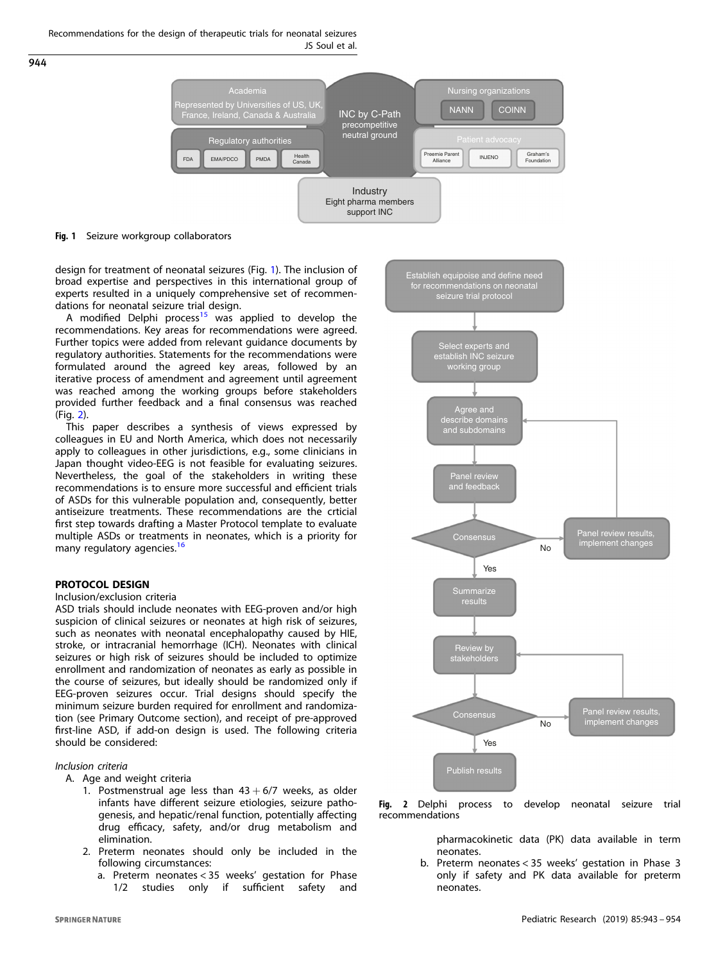

Fig. 1 Seizure workgroup collaborators

design for treatment of neonatal seizures (Fig. 1). The inclusion of broad expertise and perspectives in this international group of experts resulted in a uniquely comprehensive set of recommendations for neonatal seizure trial design.

A modified Delphi process<sup>15</sup> was applied to develop the recommendations. Key areas for recommendations were agreed. Further topics were added from relevant guidance documents by regulatory authorities. Statements for the recommendations were formulated around the agreed key areas, followed by an iterative process of amendment and agreement until agreement was reached among the working groups before stakeholders provided further feedback and a final consensus was reached (Fig. 2).

This paper describes a synthesis of views expressed by colleagues in EU and North America, which does not necessarily apply to colleagues in other jurisdictions, e.g., some clinicians in Japan thought video-EEG is not feasible for evaluating seizures. Nevertheless, the goal of the stakeholders in writing these recommendations is to ensure more successful and efficient trials of ASDs for this vulnerable population and, consequently, better antiseizure treatments. These recommendations are the crticial first step towards drafting a Master Protocol template to evaluate multiple ASDs or treatments in neonates, which is a priority for many regulatory agencies.<sup>16</sup>

#### PROTOCOL DESIGN

#### Inclusion/exclusion criteria

ASD trials should include neonates with EEG-proven and/or high suspicion of clinical seizures or neonates at high risk of seizures, such as neonates with neonatal encephalopathy caused by HIE, stroke, or intracranial hemorrhage (ICH). Neonates with clinical seizures or high risk of seizures should be included to optimize enrollment and randomization of neonates as early as possible in the course of seizures, but ideally should be randomized only if EEG-proven seizures occur. Trial designs should specify the minimum seizure burden required for enrollment and randomization (see Primary Outcome section), and receipt of pre-approved first-line ASD, if add-on design is used. The following criteria should be considered:

#### Inclusion criteria

- A. Age and weight criteria
	- 1. Postmenstrual age less than  $43 + 6/7$  weeks, as older infants have different seizure etiologies, seizure pathogenesis, and hepatic/renal function, potentially affecting drug efficacy, safety, and/or drug metabolism and elimination.
	- 2. Preterm neonates should only be included in the following circumstances:
		- a. Preterm neonates < 35 weeks' gestation for Phase 1/2 studies only if sufficient safety and



Fig. 2 Delphi process to develop neonatal seizure trial recommendations

> pharmacokinetic data (PK) data available in term neonates.

b. Preterm neonates < 35 weeks' gestation in Phase 3 only if safety and PK data available for preterm neonates.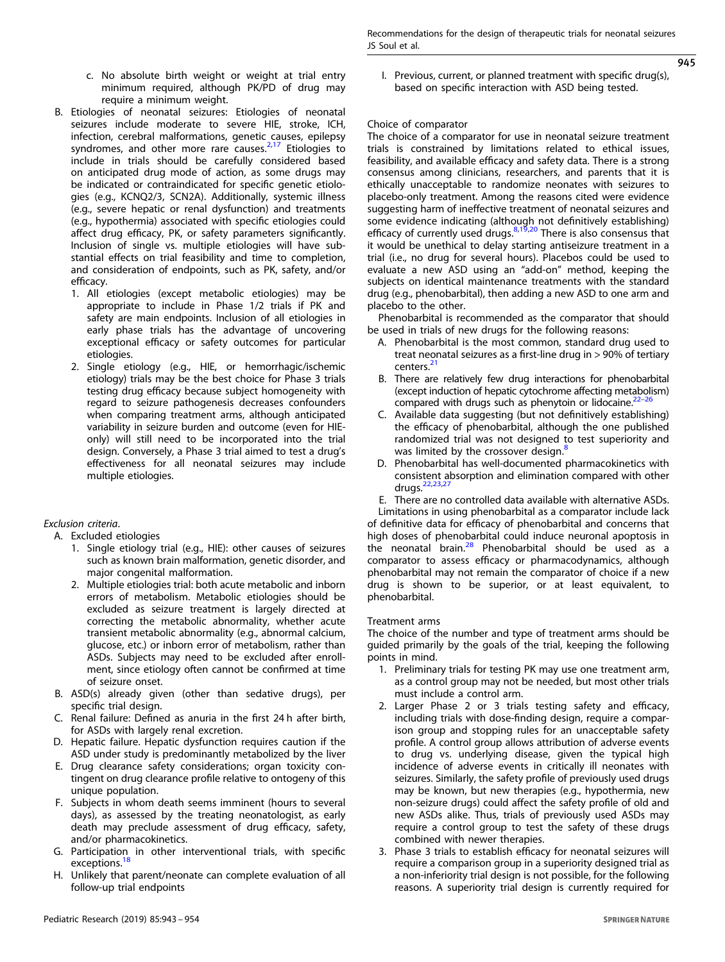- c. No absolute birth weight or weight at trial entry minimum required, although PK/PD of drug may require a minimum weight.
- B. Etiologies of neonatal seizures: Etiologies of neonatal seizures include moderate to severe HIE, stroke, ICH, infection, cerebral malformations, genetic causes, epilepsy syndromes, and other more rare causes.<sup>[2,](#page-11-0)[17](#page-12-0)</sup> Etiologies to include in trials should be carefully considered based on anticipated drug mode of action, as some drugs may be indicated or contraindicated for specific genetic etiologies (e.g., KCNQ2/3, SCN2A). Additionally, systemic illness (e.g., severe hepatic or renal dysfunction) and treatments (e.g., hypothermia) associated with specific etiologies could affect drug efficacy, PK, or safety parameters significantly. Inclusion of single vs. multiple etiologies will have substantial effects on trial feasibility and time to completion, and consideration of endpoints, such as PK, safety, and/or efficacy.
	- 1. All etiologies (except metabolic etiologies) may be appropriate to include in Phase 1/2 trials if PK and safety are main endpoints. Inclusion of all etiologies in early phase trials has the advantage of uncovering exceptional efficacy or safety outcomes for particular etiologies.
	- 2. Single etiology (e.g., HIE, or hemorrhagic/ischemic etiology) trials may be the best choice for Phase 3 trials testing drug efficacy because subject homogeneity with regard to seizure pathogenesis decreases confounders when comparing treatment arms, although anticipated variability in seizure burden and outcome (even for HIEonly) will still need to be incorporated into the trial design. Conversely, a Phase 3 trial aimed to test a drug's effectiveness for all neonatal seizures may include multiple etiologies.

# Exclusion criteria.

A. Excluded etiologies

- 1. Single etiology trial (e.g., HIE): other causes of seizures such as known brain malformation, genetic disorder, and major congenital malformation.
- 2. Multiple etiologies trial: both acute metabolic and inborn errors of metabolism. Metabolic etiologies should be excluded as seizure treatment is largely directed at correcting the metabolic abnormality, whether acute transient metabolic abnormality (e.g., abnormal calcium, glucose, etc.) or inborn error of metabolism, rather than ASDs. Subjects may need to be excluded after enrollment, since etiology often cannot be confirmed at time of seizure onset.
- B. ASD(s) already given (other than sedative drugs), per specific trial design.
- C. Renal failure: Defined as anuria in the first 24 h after birth, for ASDs with largely renal excretion.
- D. Hepatic failure. Hepatic dysfunction requires caution if the ASD under study is predominantly metabolized by the liver
- E. Drug clearance safety considerations; organ toxicity contingent on drug clearance profile relative to ontogeny of this unique population.
- F. Subjects in whom death seems imminent (hours to several days), as assessed by the treating neonatologist, as early death may preclude assessment of drug efficacy, safety, and/or pharmacokinetics.
- G. Participation in other interventional trials, with specific exceptions.<sup>[18](#page-12-0)</sup>
- H. Unlikely that parent/neonate can complete evaluation of all follow-up trial endpoints

I. Previous, current, or planned treatment with specific drug(s), based on specific interaction with ASD being tested.

# Choice of comparator

The choice of a comparator for use in neonatal seizure treatment trials is constrained by limitations related to ethical issues, feasibility, and available efficacy and safety data. There is a strong consensus among clinicians, researchers, and parents that it is ethically unacceptable to randomize neonates with seizures to placebo-only treatment. Among the reasons cited were evidence suggesting harm of ineffective treatment of neonatal seizures and some evidence indicating (although not definitively establishing) efficacy of currently used drugs.<sup>[8](#page-12-0),[19,20](#page-12-0)</sup> There is also consensus that it would be unethical to delay starting antiseizure treatment in a trial (i.e., no drug for several hours). Placebos could be used to evaluate a new ASD using an "add-on" method, keeping the subjects on identical maintenance treatments with the standard drug (e.g., phenobarbital), then adding a new ASD to one arm and placebo to the other.

Phenobarbital is recommended as the comparator that should be used in trials of new drugs for the following reasons:

- A. Phenobarbital is the most common, standard drug used to treat neonatal seizures as a first-line drug in > 90% of tertiary centers<sup>2</sup>
- B. There are relatively few drug interactions for phenobarbital (except induction of hepatic cytochrome affecting metabolism) compared with drugs such as phenytoin or lidocaine.<sup>22-[26](#page-12-0)</sup>
- C. Available data suggesting (but not definitively establishing) the efficacy of phenobarbital, although the one published randomized trial was not designed to test superiority and was limited by the crossover design.<sup>[8](#page-12-0)</sup>
- D. Phenobarbital has well-documented pharmacokinetics with consistent absorption and elimination compared with other drugs. $22,23$  $22,23$  $22,23$ ,

E. There are no controlled data available with alternative ASDs. Limitations in using phenobarbital as a comparator include lack of definitive data for efficacy of phenobarbital and concerns that high doses of phenobarbital could induce neuronal apoptosis in the neonatal brain.<sup>[28](#page-12-0)</sup> Phenobarbital should be used as a comparator to assess efficacy or pharmacodynamics, although phenobarbital may not remain the comparator of choice if a new drug is shown to be superior, or at least equivalent, to phenobarbital.

# Treatment arms

The choice of the number and type of treatment arms should be guided primarily by the goals of the trial, keeping the following points in mind.

- 1. Preliminary trials for testing PK may use one treatment arm, as a control group may not be needed, but most other trials must include a control arm.
- 2. Larger Phase 2 or 3 trials testing safety and efficacy, including trials with dose-finding design, require a comparison group and stopping rules for an unacceptable safety profile. A control group allows attribution of adverse events to drug vs. underlying disease, given the typical high incidence of adverse events in critically ill neonates with seizures. Similarly, the safety profile of previously used drugs may be known, but new therapies (e.g., hypothermia, new non-seizure drugs) could affect the safety profile of old and new ASDs alike. Thus, trials of previously used ASDs may require a control group to test the safety of these drugs combined with newer therapies.
- 3. Phase 3 trials to establish efficacy for neonatal seizures will require a comparison group in a superiority designed trial as a non-inferiority trial design is not possible, for the following reasons. A superiority trial design is currently required for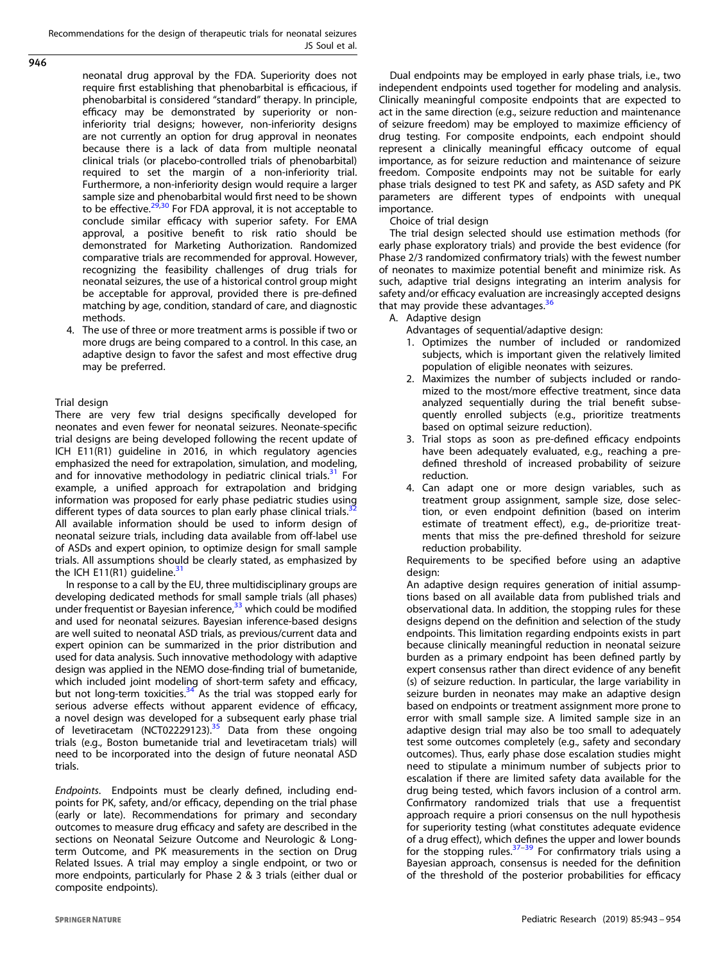946

neonatal drug approval by the FDA. Superiority does not require first establishing that phenobarbital is efficacious, if phenobarbital is considered "standard" therapy. In principle, efficacy may be demonstrated by superiority or noninferiority trial designs; however, non-inferiority designs are not currently an option for drug approval in neonates because there is a lack of data from multiple neonatal clinical trials (or placebo-controlled trials of phenobarbital) required to set the margin of a non-inferiority trial. Furthermore, a non-inferiority design would require a larger sample size and phenobarbital would first need to be shown to be effective.<sup>[29,30](#page-12-0)</sup> For FDA approval, it is not acceptable to conclude similar efficacy with superior safety. For EMA approval, a positive benefit to risk ratio should be demonstrated for Marketing Authorization. Randomized comparative trials are recommended for approval. However, recognizing the feasibility challenges of drug trials for neonatal seizures, the use of a historical control group might be acceptable for approval, provided there is pre-defined matching by age, condition, standard of care, and diagnostic methods.

4. The use of three or more treatment arms is possible if two or more drugs are being compared to a control. In this case, an adaptive design to favor the safest and most effective drug may be preferred.

### Trial design

There are very few trial designs specifically developed for neonates and even fewer for neonatal seizures. Neonate-specific trial designs are being developed following the recent update of ICH E11(R1) guideline in 2016, in which regulatory agencies emphasized the need for extrapolation, simulation, and modeling, and for innovative methodology in pediatric clinical trials.<sup>[31](#page-12-0)</sup> For example, a unified approach for extrapolation and bridging information was proposed for early phase pediatric studies using different types of data sources to plan early phase clinical trials.<sup>3</sup> All available information should be used to inform design of neonatal seizure trials, including data available from off-label use of ASDs and expert opinion, to optimize design for small sample trials. All assumptions should be clearly stated, as emphasized by the ICH E11(R1) guideline.<sup>31</sup>

In response to a call by the EU, three multidisciplinary groups are developing dedicated methods for small sample trials (all phases) under frequentist or Bayesian inference,<sup>33</sup> which could be modified and used for neonatal seizures. Bayesian inference-based designs are well suited to neonatal ASD trials, as previous/current data and expert opinion can be summarized in the prior distribution and used for data analysis. Such innovative methodology with adaptive design was applied in the NEMO dose-finding trial of bumetanide, which included joint modeling of short-term safety and efficacy, but not long-term toxicities. $34$  As the trial was stopped early for serious adverse effects without apparent evidence of efficacy, a novel design was developed for a subsequent early phase trial of levetiracetam (NCT02229123). $35$  Data from these ongoing trials (e.g., Boston bumetanide trial and levetiracetam trials) will need to be incorporated into the design of future neonatal ASD trials.

Endpoints. Endpoints must be clearly defined, including endpoints for PK, safety, and/or efficacy, depending on the trial phase (early or late). Recommendations for primary and secondary outcomes to measure drug efficacy and safety are described in the sections on Neonatal Seizure Outcome and Neurologic & Longterm Outcome, and PK measurements in the section on Drug Related Issues. A trial may employ a single endpoint, or two or more endpoints, particularly for Phase 2 & 3 trials (either dual or composite endpoints).

Dual endpoints may be employed in early phase trials, i.e., two independent endpoints used together for modeling and analysis. Clinically meaningful composite endpoints that are expected to act in the same direction (e.g., seizure reduction and maintenance of seizure freedom) may be employed to maximize efficiency of drug testing. For composite endpoints, each endpoint should represent a clinically meaningful efficacy outcome of equal importance, as for seizure reduction and maintenance of seizure freedom. Composite endpoints may not be suitable for early phase trials designed to test PK and safety, as ASD safety and PK parameters are different types of endpoints with unequal importance.

### Choice of trial design

The trial design selected should use estimation methods (for early phase exploratory trials) and provide the best evidence (for Phase 2/3 randomized confirmatory trials) with the fewest number of neonates to maximize potential benefit and minimize risk. As such, adaptive trial designs integrating an interim analysis for safety and/or efficacy evaluation are increasingly accepted designs that may provide these advantages.<sup>[36](#page-12-0)</sup>

A. Adaptive design

- Advantages of sequential/adaptive design:
- 1. Optimizes the number of included or randomized subjects, which is important given the relatively limited population of eligible neonates with seizures.
- 2. Maximizes the number of subjects included or randomized to the most/more effective treatment, since data analyzed sequentially during the trial benefit subsequently enrolled subjects (e.g., prioritize treatments based on optimal seizure reduction).
- 3. Trial stops as soon as pre-defined efficacy endpoints have been adequately evaluated, e.g., reaching a predefined threshold of increased probability of seizure reduction.
- 4. Can adapt one or more design variables, such as treatment group assignment, sample size, dose selection, or even endpoint definition (based on interim estimate of treatment effect), e.g., de-prioritize treatments that miss the pre-defined threshold for seizure reduction probability.

Requirements to be specified before using an adaptive design:

An adaptive design requires generation of initial assumptions based on all available data from published trials and observational data. In addition, the stopping rules for these designs depend on the definition and selection of the study endpoints. This limitation regarding endpoints exists in part because clinically meaningful reduction in neonatal seizure burden as a primary endpoint has been defined partly by expert consensus rather than direct evidence of any benefit (s) of seizure reduction. In particular, the large variability in seizure burden in neonates may make an adaptive design based on endpoints or treatment assignment more prone to error with small sample size. A limited sample size in an adaptive design trial may also be too small to adequately test some outcomes completely (e.g., safety and secondary outcomes). Thus, early phase dose escalation studies might need to stipulate a minimum number of subjects prior to escalation if there are limited safety data available for the drug being tested, which favors inclusion of a control arm. Confirmatory randomized trials that use a frequentist approach require a priori consensus on the null hypothesis for superiority testing (what constitutes adequate evidence of a drug effect), which defines the upper and lower bounds for the stopping rules. $37-39$  $37-39$  $37-39$  For confirmatory trials using a Bayesian approach, consensus is needed for the definition of the threshold of the posterior probabilities for efficacy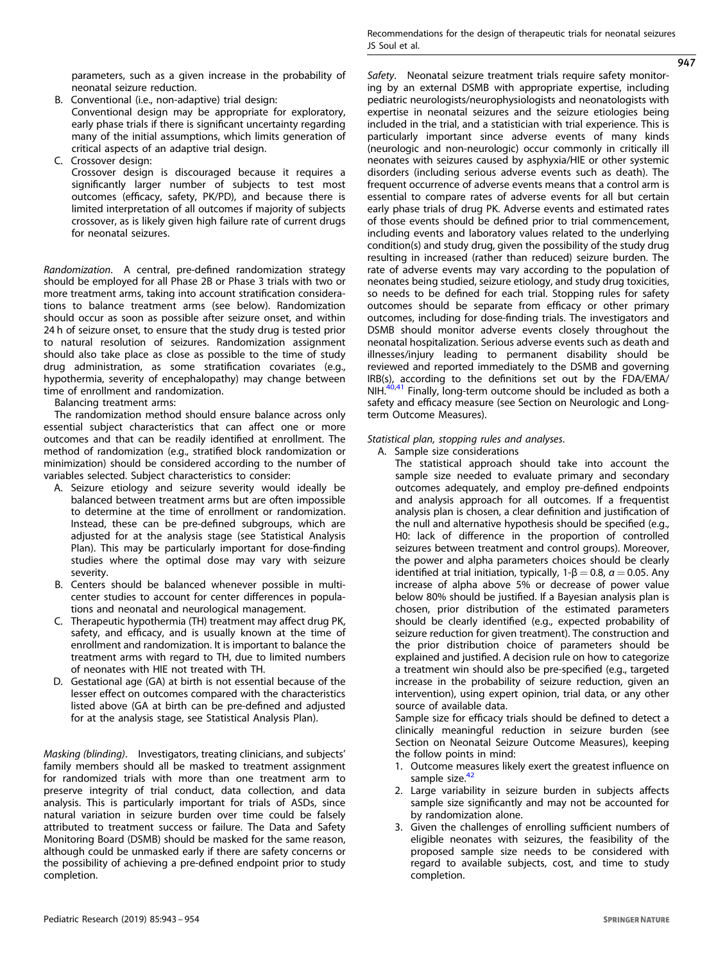parameters, such as a given increase in the probability of neonatal seizure reduction.

- B. Conventional (i.e., non-adaptive) trial design: Conventional design may be appropriate for exploratory, early phase trials if there is significant uncertainty regarding many of the initial assumptions, which limits generation of critical aspects of an adaptive trial design.
- C. Crossover design:

Crossover design is discouraged because it requires a significantly larger number of subjects to test most outcomes (efficacy, safety, PK/PD), and because there is limited interpretation of all outcomes if majority of subjects crossover, as is likely given high failure rate of current drugs for neonatal seizures.

Randomization. A central, pre-defined randomization strategy should be employed for all Phase 2B or Phase 3 trials with two or more treatment arms, taking into account stratification considerations to balance treatment arms (see below). Randomization should occur as soon as possible after seizure onset, and within 24 h of seizure onset, to ensure that the study drug is tested prior to natural resolution of seizures. Randomization assignment should also take place as close as possible to the time of study drug administration, as some stratification covariates (e.g., hypothermia, severity of encephalopathy) may change between time of enrollment and randomization.

Balancing treatment arms:

The randomization method should ensure balance across only essential subject characteristics that can affect one or more outcomes and that can be readily identified at enrollment. The method of randomization (e.g., stratified block randomization or minimization) should be considered according to the number of variables selected. Subject characteristics to consider:

- A. Seizure etiology and seizure severity would ideally be balanced between treatment arms but are often impossible to determine at the time of enrollment or randomization. Instead, these can be pre-defined subgroups, which are adjusted for at the analysis stage (see Statistical Analysis Plan). This may be particularly important for dose-finding studies where the optimal dose may vary with seizure severity.
- B. Centers should be balanced whenever possible in multicenter studies to account for center differences in populations and neonatal and neurological management.
- C. Therapeutic hypothermia (TH) treatment may affect drug PK, safety, and efficacy, and is usually known at the time of enrollment and randomization. It is important to balance the treatment arms with regard to TH, due to limited numbers of neonates with HIE not treated with TH.
- D. Gestational age (GA) at birth is not essential because of the lesser effect on outcomes compared with the characteristics listed above (GA at birth can be pre-defined and adjusted for at the analysis stage, see Statistical Analysis Plan).

Masking (blinding). Investigators, treating clinicians, and subjects' family members should all be masked to treatment assignment for randomized trials with more than one treatment arm to preserve integrity of trial conduct, data collection, and data analysis. This is particularly important for trials of ASDs, since natural variation in seizure burden over time could be falsely attributed to treatment success or failure. The Data and Safety Monitoring Board (DSMB) should be masked for the same reason, although could be unmasked early if there are safety concerns or the possibility of achieving a pre-defined endpoint prior to study completion.

Safety. Neonatal seizure treatment trials require safety monitoring by an external DSMB with appropriate expertise, including pediatric neurologists/neurophysiologists and neonatologists with expertise in neonatal seizures and the seizure etiologies being included in the trial, and a statistician with trial experience. This is particularly important since adverse events of many kinds (neurologic and non-neurologic) occur commonly in critically ill neonates with seizures caused by asphyxia/HIE or other systemic disorders (including serious adverse events such as death). The frequent occurrence of adverse events means that a control arm is essential to compare rates of adverse events for all but certain early phase trials of drug PK. Adverse events and estimated rates of those events should be defined prior to trial commencement, including events and laboratory values related to the underlying condition(s) and study drug, given the possibility of the study drug resulting in increased (rather than reduced) seizure burden. The rate of adverse events may vary according to the population of neonates being studied, seizure etiology, and study drug toxicities, so needs to be defined for each trial. Stopping rules for safety outcomes should be separate from efficacy or other primary outcomes, including for dose-finding trials. The investigators and DSMB should monitor adverse events closely throughout the neonatal hospitalization. Serious adverse events such as death and illnesses/injury leading to permanent disability should be reviewed and reported immediately to the DSMB and governing IRB(s), according to the definitions set out by the FDA/EMA/ NIH. $40,41$  $40,41$  Finally, long-term outcome should be included as both a safety and efficacy measure (see Section on Neurologic and Longterm Outcome Measures).

### Statistical plan, stopping rules and analyses.

A. Sample size considerations

The statistical approach should take into account the sample size needed to evaluate primary and secondary outcomes adequately, and employ pre-defined endpoints and analysis approach for all outcomes. If a frequentist analysis plan is chosen, a clear definition and justification of the null and alternative hypothesis should be specified (e.g., H0: lack of difference in the proportion of controlled seizures between treatment and control groups). Moreover, the power and alpha parameters choices should be clearly identified at trial initiation, typically,  $1-\beta = 0.8$ ,  $\alpha = 0.05$ . Any increase of alpha above 5% or decrease of power value below 80% should be justified. If a Bayesian analysis plan is chosen, prior distribution of the estimated parameters should be clearly identified (e.g., expected probability of seizure reduction for given treatment). The construction and the prior distribution choice of parameters should be explained and justified. A decision rule on how to categorize a treatment win should also be pre-specified (e.g., targeted increase in the probability of seizure reduction, given an intervention), using expert opinion, trial data, or any other source of available data.

Sample size for efficacy trials should be defined to detect a clinically meaningful reduction in seizure burden (see Section on Neonatal Seizure Outcome Measures), keeping the follow points in mind:

- 1. Outcome measures likely exert the greatest influence on sample size.<sup>[42](#page-12-0)</sup>
- 2. Large variability in seizure burden in subjects affects sample size significantly and may not be accounted for by randomization alone.
- 3. Given the challenges of enrolling sufficient numbers of eligible neonates with seizures, the feasibility of the proposed sample size needs to be considered with regard to available subjects, cost, and time to study completion.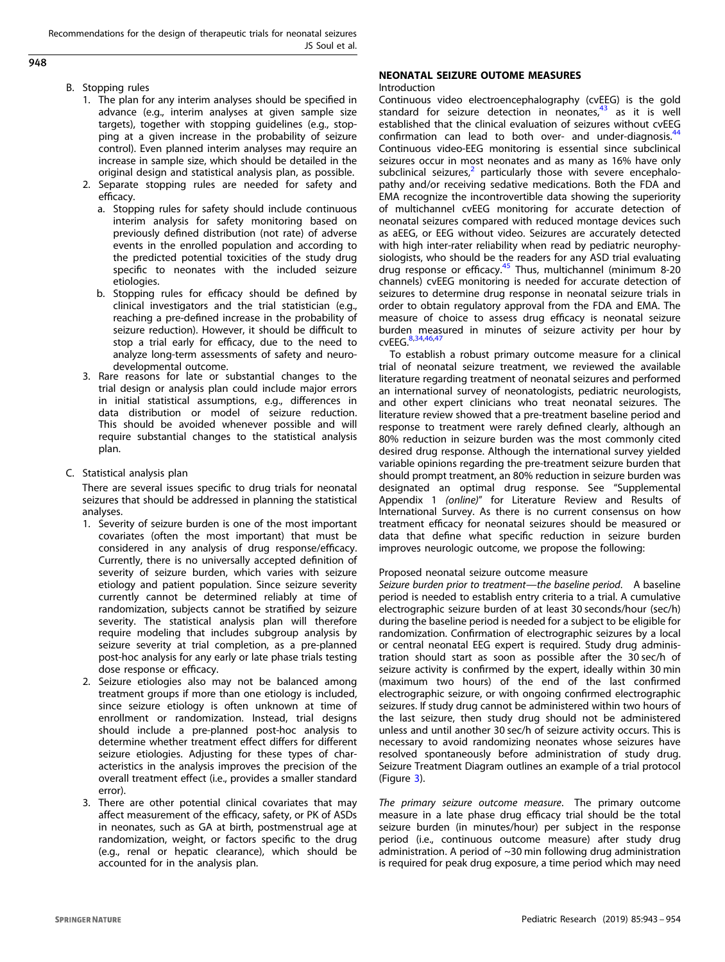- B. Stopping rules
	- 1. The plan for any interim analyses should be specified in advance (e.g., interim analyses at given sample size targets), together with stopping guidelines (e.g., stopping at a given increase in the probability of seizure control). Even planned interim analyses may require an increase in sample size, which should be detailed in the original design and statistical analysis plan, as possible.
	- 2. Separate stopping rules are needed for safety and efficacy.
		- a. Stopping rules for safety should include continuous interim analysis for safety monitoring based on previously defined distribution (not rate) of adverse events in the enrolled population and according to the predicted potential toxicities of the study drug specific to neonates with the included seizure etiologies.
		- b. Stopping rules for efficacy should be defined by clinical investigators and the trial statistician (e.g., reaching a pre-defined increase in the probability of seizure reduction). However, it should be difficult to stop a trial early for efficacy, due to the need to analyze long-term assessments of safety and neuro-
	- 3. Rare reasons for late or substantial changes to the trial design or analysis plan could include major errors in initial statistical assumptions, e.g., differences in data distribution or model of seizure reduction. This should be avoided whenever possible and will require substantial changes to the statistical analysis plan.
- C. Statistical analysis plan

There are several issues specific to drug trials for neonatal seizures that should be addressed in planning the statistical analyses.

- 1. Severity of seizure burden is one of the most important covariates (often the most important) that must be considered in any analysis of drug response/efficacy. Currently, there is no universally accepted definition of severity of seizure burden, which varies with seizure etiology and patient population. Since seizure severity currently cannot be determined reliably at time of randomization, subjects cannot be stratified by seizure severity. The statistical analysis plan will therefore require modeling that includes subgroup analysis by seizure severity at trial completion, as a pre-planned post-hoc analysis for any early or late phase trials testing dose response or efficacy.
- 2. Seizure etiologies also may not be balanced among treatment groups if more than one etiology is included, since seizure etiology is often unknown at time of enrollment or randomization. Instead, trial designs should include a pre-planned post-hoc analysis to determine whether treatment effect differs for different seizure etiologies. Adjusting for these types of characteristics in the analysis improves the precision of the overall treatment effect (i.e., provides a smaller standard error).
- 3. There are other potential clinical covariates that may affect measurement of the efficacy, safety, or PK of ASDs in neonates, such as GA at birth, postmenstrual age at randomization, weight, or factors specific to the drug (e.g., renal or hepatic clearance), which should be accounted for in the analysis plan.

## NEONATAL SEIZURE OUTOME MEASURES

#### Introduction

Continuous video electroencephalography (cvEEG) is the gold standard for seizure detection in neonates, $43$  as it is well established that the clinical evaluation of seizures without cvEEG confirmation can lead to both over- and under-diagnosis.<sup>[44](#page-12-0)</sup> Continuous video-EEG monitoring is essential since subclinical seizures occur in most neonates and as many as 16% have only subclinical seizures, $<sup>2</sup>$  $<sup>2</sup>$  $<sup>2</sup>$  particularly those with severe encephalo-</sup> pathy and/or receiving sedative medications. Both the FDA and EMA recognize the incontrovertible data showing the superiority of multichannel cvEEG monitoring for accurate detection of neonatal seizures compared with reduced montage devices such as aEEG, or EEG without video. Seizures are accurately detected with high inter-rater reliability when read by pediatric neurophysiologists, who should be the readers for any ASD trial evaluating drug response or efficacy.<sup>[45](#page-12-0)</sup> Thus, multichannel (minimum 8-20 channels) cvEEG monitoring is needed for accurate detection of seizures to determine drug response in neonatal seizure trials in order to obtain regulatory approval from the FDA and EMA. The measure of choice to assess drug efficacy is neonatal seizure burden measured in minutes of seizure activity per hour by cvEEG. [8](#page-12-0),[34,46,47](#page-12-0)

To establish a robust primary outcome measure for a clinical trial of neonatal seizure treatment, we reviewed the available literature regarding treatment of neonatal seizures and performed an international survey of neonatologists, pediatric neurologists, and other expert clinicians who treat neonatal seizures. The literature review showed that a pre-treatment baseline period and response to treatment were rarely defined clearly, although an 80% reduction in seizure burden was the most commonly cited desired drug response. Although the international survey yielded variable opinions regarding the pre-treatment seizure burden that should prompt treatment, an 80% reduction in seizure burden was designated an optimal drug response. See "Supplemental Appendix 1 (online)" for Literature Review and Results of International Survey. As there is no current consensus on how treatment efficacy for neonatal seizures should be measured or data that define what specific reduction in seizure burden improves neurologic outcome, we propose the following:

#### Proposed neonatal seizure outcome measure

Seizure burden prior to treatment—the baseline period. A baseline period is needed to establish entry criteria to a trial. A cumulative electrographic seizure burden of at least 30 seconds/hour (sec/h) during the baseline period is needed for a subject to be eligible for randomization. Confirmation of electrographic seizures by a local or central neonatal EEG expert is required. Study drug administration should start as soon as possible after the 30 sec/h of seizure activity is confirmed by the expert, ideally within 30 min (maximum two hours) of the end of the last confirmed electrographic seizure, or with ongoing confirmed electrographic seizures. If study drug cannot be administered within two hours of the last seizure, then study drug should not be administered unless and until another 30 sec/h of seizure activity occurs. This is necessary to avoid randomizing neonates whose seizures have resolved spontaneously before administration of study drug. Seizure Treatment Diagram outlines an example of a trial protocol (Figure [3\)](#page-8-0).

The primary seizure outcome measure. The primary outcome measure in a late phase drug efficacy trial should be the total seizure burden (in minutes/hour) per subject in the response period (i.e., continuous outcome measure) after study drug administration. A period of ~30 min following drug administration is required for peak drug exposure, a time period which may need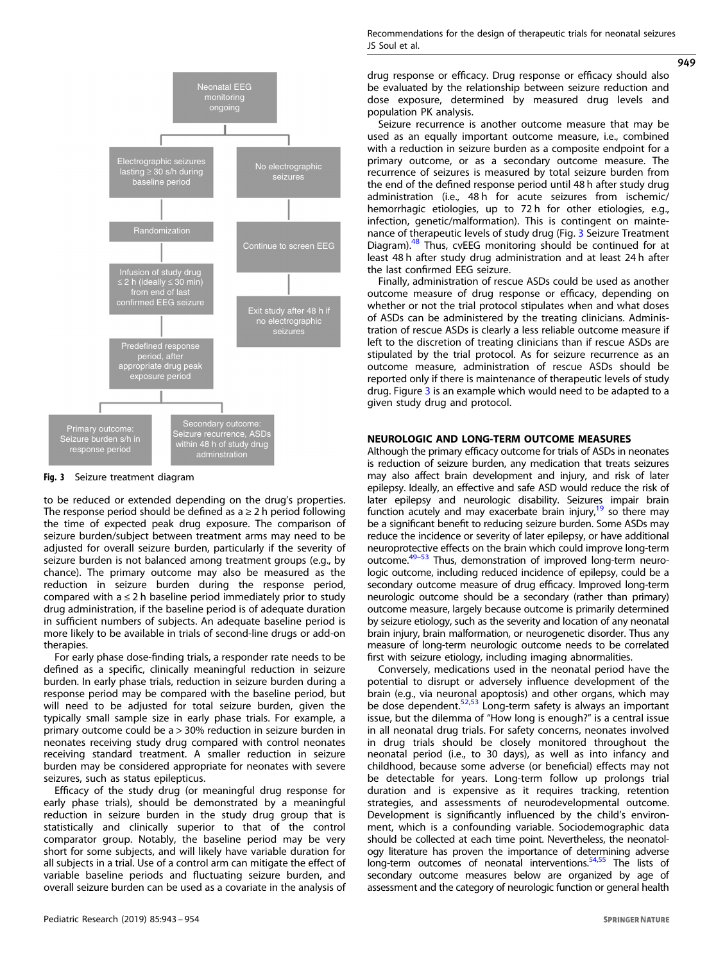Recommendations for the design of therapeutic trials for neonatal seizures JS Soul et al.

949

<span id="page-8-0"></span>

## Fig. 3 Seizure treatment diagram

to be reduced or extended depending on the drug's properties. The response period should be defined as  $a \ge 2$  h period following the time of expected peak drug exposure. The comparison of seizure burden/subject between treatment arms may need to be adjusted for overall seizure burden, particularly if the severity of seizure burden is not balanced among treatment groups (e.g., by chance). The primary outcome may also be measured as the reduction in seizure burden during the response period, compared with  $a \le 2$  h baseline period immediately prior to study drug administration, if the baseline period is of adequate duration in sufficient numbers of subjects. An adequate baseline period is more likely to be available in trials of second-line drugs or add-on therapies.

For early phase dose-finding trials, a responder rate needs to be defined as a specific, clinically meaningful reduction in seizure burden. In early phase trials, reduction in seizure burden during a response period may be compared with the baseline period, but will need to be adjusted for total seizure burden, given the typically small sample size in early phase trials. For example, a primary outcome could be a > 30% reduction in seizure burden in neonates receiving study drug compared with control neonates receiving standard treatment. A smaller reduction in seizure burden may be considered appropriate for neonates with severe seizures, such as status epilepticus.

Efficacy of the study drug (or meaningful drug response for early phase trials), should be demonstrated by a meaningful reduction in seizure burden in the study drug group that is statistically and clinically superior to that of the control comparator group. Notably, the baseline period may be very short for some subjects, and will likely have variable duration for all subjects in a trial. Use of a control arm can mitigate the effect of variable baseline periods and fluctuating seizure burden, and overall seizure burden can be used as a covariate in the analysis of

Pediatric Research (2019) 85:943 – 954

drug response or efficacy. Drug response or efficacy should also be evaluated by the relationship between seizure reduction and dose exposure, determined by measured drug levels and population PK analysis.

Seizure recurrence is another outcome measure that may be used as an equally important outcome measure, i.e., combined with a reduction in seizure burden as a composite endpoint for a primary outcome, or as a secondary outcome measure. The recurrence of seizures is measured by total seizure burden from the end of the defined response period until 48 h after study drug administration (i.e., 48 h for acute seizures from ischemic/ hemorrhagic etiologies, up to 72 h for other etiologies, e.a., infection, genetic/malformation). This is contingent on maintenance of therapeutic levels of study drug (Fig. 3 Seizure Treatment Diagram)[.48](#page-12-0) Thus, cvEEG monitoring should be continued for at least 48 h after study drug administration and at least 24 h after the last confirmed EEG seizure.

Finally, administration of rescue ASDs could be used as another outcome measure of drug response or efficacy, depending on whether or not the trial protocol stipulates when and what doses of ASDs can be administered by the treating clinicians. Administration of rescue ASDs is clearly a less reliable outcome measure if left to the discretion of treating clinicians than if rescue ASDs are stipulated by the trial protocol. As for seizure recurrence as an outcome measure, administration of rescue ASDs should be reported only if there is maintenance of therapeutic levels of study drug. Figure 3 is an example which would need to be adapted to a given study drug and protocol.

## NEUROLOGIC AND LONG-TERM OUTCOME MEASURES

Although the primary efficacy outcome for trials of ASDs in neonates is reduction of seizure burden, any medication that treats seizures may also affect brain development and injury, and risk of later epilepsy. Ideally, an effective and safe ASD would reduce the risk of later epilepsy and neurologic disability. Seizures impair brain function acutely and may exacerbate brain injury,<sup>19</sup> so there may be a significant benefit to reducing seizure burden. Some ASDs may reduce the incidence or severity of later epilepsy, or have additional neuroprotective effects on the brain which could improve long-term outcome[.49](#page-12-0)–[53](#page-12-0) Thus, demonstration of improved long-term neurologic outcome, including reduced incidence of epilepsy, could be a secondary outcome measure of drug efficacy. Improved long-term neurologic outcome should be a secondary (rather than primary) outcome measure, largely because outcome is primarily determined by seizure etiology, such as the severity and location of any neonatal brain injury, brain malformation, or neurogenetic disorder. Thus any measure of long-term neurologic outcome needs to be correlated first with seizure etiology, including imaging abnormalities.

Conversely, medications used in the neonatal period have the potential to disrupt or adversely influence development of the brain (e.g., via neuronal apoptosis) and other organs, which may be dose dependent. $52,53$  $52,53$  $52,53$  Long-term safety is always an important issue, but the dilemma of "How long is enough?" is a central issue in all neonatal drug trials. For safety concerns, neonates involved in drug trials should be closely monitored throughout the neonatal period (i.e., to 30 days), as well as into infancy and childhood, because some adverse (or beneficial) effects may not be detectable for years. Long-term follow up prolongs trial duration and is expensive as it requires tracking, retention strategies, and assessments of neurodevelopmental outcome. Development is significantly influenced by the child's environment, which is a confounding variable. Sociodemographic data should be collected at each time point. Nevertheless, the neonatology literature has proven the importance of determining adverse long-term outcomes of neonatal interventions.<sup>54,[55](#page-12-0)</sup> The lists of secondary outcome measures below are organized by age of assessment and the category of neurologic function or general health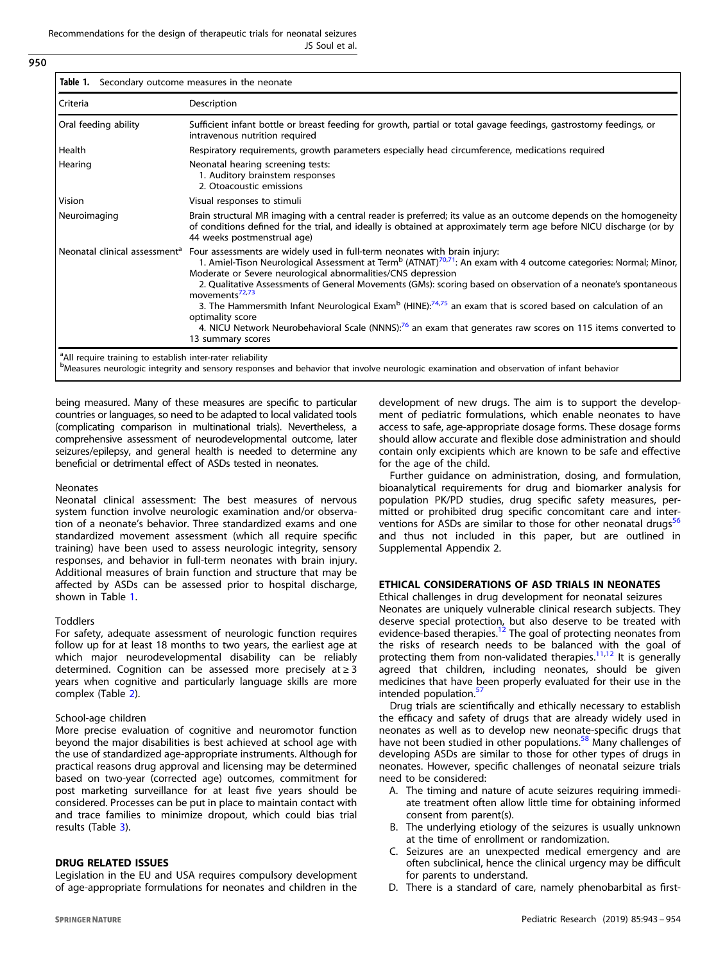| Criteria             | Description                                                                                                                                                                                                                                                                                                                                                                                                                                                                                                                                                                                                                                                                                                                                                                                |
|----------------------|--------------------------------------------------------------------------------------------------------------------------------------------------------------------------------------------------------------------------------------------------------------------------------------------------------------------------------------------------------------------------------------------------------------------------------------------------------------------------------------------------------------------------------------------------------------------------------------------------------------------------------------------------------------------------------------------------------------------------------------------------------------------------------------------|
| Oral feeding ability | Sufficient infant bottle or breast feeding for growth, partial or total gavage feedings, gastrostomy feedings, or<br>intravenous nutrition required                                                                                                                                                                                                                                                                                                                                                                                                                                                                                                                                                                                                                                        |
| Health               | Respiratory requirements, growth parameters especially head circumference, medications required                                                                                                                                                                                                                                                                                                                                                                                                                                                                                                                                                                                                                                                                                            |
| Hearing              | Neonatal hearing screening tests:<br>1. Auditory brainstem responses<br>2. Otoacoustic emissions                                                                                                                                                                                                                                                                                                                                                                                                                                                                                                                                                                                                                                                                                           |
| Vision               | Visual responses to stimuli                                                                                                                                                                                                                                                                                                                                                                                                                                                                                                                                                                                                                                                                                                                                                                |
| Neuroimaging         | Brain structural MR imaging with a central reader is preferred; its value as an outcome depends on the homogeneity<br>of conditions defined for the trial, and ideally is obtained at approximately term age before NICU discharge (or by<br>44 weeks postmenstrual age)                                                                                                                                                                                                                                                                                                                                                                                                                                                                                                                   |
|                      | Neonatal clinical assessment <sup>a</sup> Four assessments are widely used in full-term neonates with brain injury:<br>1. Amiel-Tison Neurological Assessment at Term <sup>b</sup> (ATNAT) <sup>70,71</sup> : An exam with 4 outcome categories: Normal; Minor,<br>Moderate or Severe neurological abnormalities/CNS depression<br>2. Qualitative Assessments of General Movements (GMs): scoring based on observation of a neonate's spontaneous<br>movements <sup>72,73</sup><br>3. The Hammersmith Infant Neurological Exam <sup>b</sup> (HINE): <sup>74,75</sup> an exam that is scored based on calculation of an<br>optimality score<br>4. NICU Network Neurobehavioral Scale (NNNS): <sup>76</sup> an exam that generates raw scores on 115 items converted to<br>13 summary scores |

being measured. Many of these measures are specific to particular countries or languages, so need to be adapted to local validated tools (complicating comparison in multinational trials). Nevertheless, a comprehensive assessment of neurodevelopmental outcome, later seizures/epilepsy, and general health is needed to determine any beneficial or detrimental effect of ASDs tested in neonates.

#### Neonates

Neonatal clinical assessment: The best measures of nervous system function involve neurologic examination and/or observation of a neonate's behavior. Three standardized exams and one standardized movement assessment (which all require specific training) have been used to assess neurologic integrity, sensory responses, and behavior in full-term neonates with brain injury. Additional measures of brain function and structure that may be affected by ASDs can be assessed prior to hospital discharge, shown in Table 1.

#### Toddlers

For safety, adequate assessment of neurologic function requires follow up for at least 18 months to two years, the earliest age at which major neurodevelopmental disability can be reliably determined. Cognition can be assessed more precisely at  $\geq 3$ years when cognitive and particularly language skills are more complex (Table [2\)](#page-10-0).

#### School-age children

More precise evaluation of cognitive and neuromotor function beyond the major disabilities is best achieved at school age with the use of standardized age-appropriate instruments. Although for practical reasons drug approval and licensing may be determined based on two-year (corrected age) outcomes, commitment for post marketing surveillance for at least five years should be considered. Processes can be put in place to maintain contact with and trace families to minimize dropout, which could bias trial results (Table [3\)](#page-11-0).

#### DRUG RELATED ISSUES

Legislation in the EU and USA requires compulsory development of age-appropriate formulations for neonates and children in the

development of new drugs. The aim is to support the development of pediatric formulations, which enable neonates to have access to safe, age-appropriate dosage forms. These dosage forms should allow accurate and flexible dose administration and should contain only excipients which are known to be safe and effective for the age of the child.

Further guidance on administration, dosing, and formulation, bioanalytical requirements for drug and biomarker analysis for population PK/PD studies, drug specific safety measures, permitted or prohibited drug specific concomitant care and inter-ventions for ASDs are similar to those for other neonatal drugs<sup>[56](#page-12-0)</sup> and thus not included in this paper, but are outlined in Supplemental Appendix 2.

## ETHICAL CONSIDERATIONS OF ASD TRIALS IN NEONATES

Ethical challenges in drug development for neonatal seizures Neonates are uniquely vulnerable clinical research subjects. They deserve special protection, but also deserve to be treated with evidence-based therapies.<sup>[12](#page-12-0)</sup> The goal of protecting neonates from the risks of research needs to be balanced with the goal of protecting them from non-validated therapies.<sup>[11](#page-12-0),[12](#page-12-0)</sup> It is generally agreed that children, including neonates, should be given medicines that have been properly evaluated for their use in the intended population.<sup>[57](#page-12-0)</sup>

Drug trials are scientifically and ethically necessary to establish the efficacy and safety of drugs that are already widely used in neonates as well as to develop new neonate-specific drugs that have not been studied in other populations.<sup>[58](#page-12-0)</sup> Many challenges of developing ASDs are similar to those for other types of drugs in neonates. However, specific challenges of neonatal seizure trials need to be considered:

- A. The timing and nature of acute seizures requiring immediate treatment often allow little time for obtaining informed consent from parent(s).
- B. The underlying etiology of the seizures is usually unknown at the time of enrollment or randomization.
- C. Seizures are an unexpected medical emergency and are often subclinical, hence the clinical urgency may be difficult for parents to understand.
- D. There is a standard of care, namely phenobarbital as first-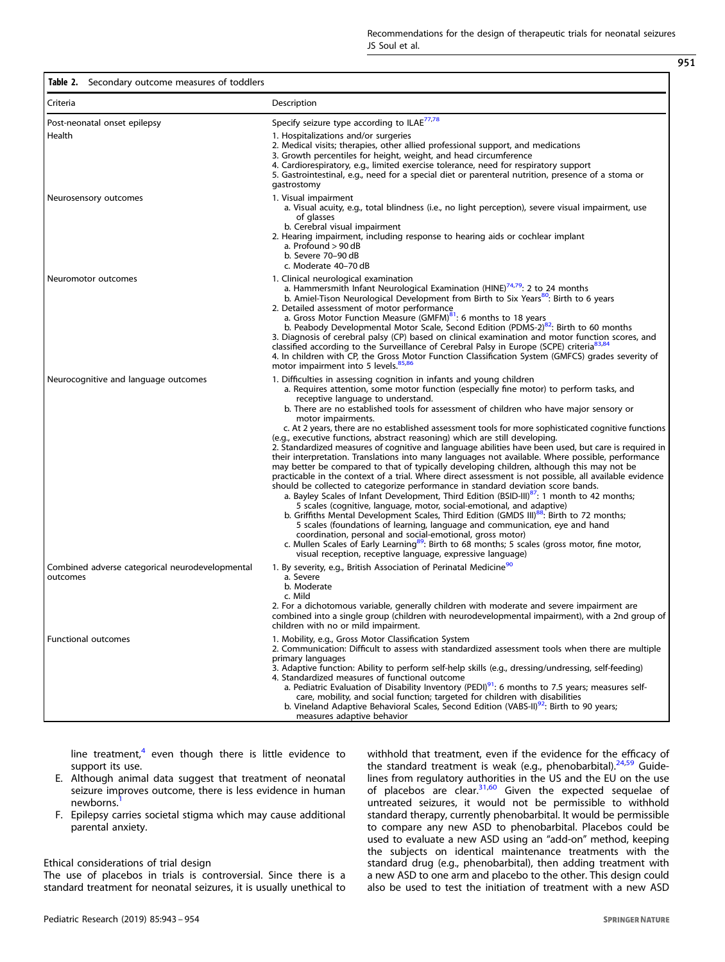<span id="page-10-0"></span>

| Table 2. Secondary outcome measures of toddlers             |                                                                                                                                                                                                                                                                                                                                                                                                                                                                                                                                                                                                                                                                                                                                                                                                                                                                                                                                                                                                                                                                                                                                                                                                                                                                                                                                                                                                                                                                                                                                                                                                                                       |  |
|-------------------------------------------------------------|---------------------------------------------------------------------------------------------------------------------------------------------------------------------------------------------------------------------------------------------------------------------------------------------------------------------------------------------------------------------------------------------------------------------------------------------------------------------------------------------------------------------------------------------------------------------------------------------------------------------------------------------------------------------------------------------------------------------------------------------------------------------------------------------------------------------------------------------------------------------------------------------------------------------------------------------------------------------------------------------------------------------------------------------------------------------------------------------------------------------------------------------------------------------------------------------------------------------------------------------------------------------------------------------------------------------------------------------------------------------------------------------------------------------------------------------------------------------------------------------------------------------------------------------------------------------------------------------------------------------------------------|--|
| Criteria                                                    | Description                                                                                                                                                                                                                                                                                                                                                                                                                                                                                                                                                                                                                                                                                                                                                                                                                                                                                                                                                                                                                                                                                                                                                                                                                                                                                                                                                                                                                                                                                                                                                                                                                           |  |
| Post-neonatal onset epilepsy                                | Specify seizure type according to ILAE <sup>77,78</sup>                                                                                                                                                                                                                                                                                                                                                                                                                                                                                                                                                                                                                                                                                                                                                                                                                                                                                                                                                                                                                                                                                                                                                                                                                                                                                                                                                                                                                                                                                                                                                                               |  |
| Health                                                      | 1. Hospitalizations and/or surgeries<br>2. Medical visits; therapies, other allied professional support, and medications<br>3. Growth percentiles for height, weight, and head circumference<br>4. Cardiorespiratory, e.g., limited exercise tolerance, need for respiratory support<br>5. Gastrointestinal, e.g., need for a special diet or parenteral nutrition, presence of a stoma or<br>gastrostomy                                                                                                                                                                                                                                                                                                                                                                                                                                                                                                                                                                                                                                                                                                                                                                                                                                                                                                                                                                                                                                                                                                                                                                                                                             |  |
| Neurosensory outcomes                                       | 1. Visual impairment<br>a. Visual acuity, e.g., total blindness (i.e., no light perception), severe visual impairment, use<br>of glasses<br>b. Cerebral visual impairment<br>2. Hearing impairment, including response to hearing aids or cochlear implant<br>a. Profound > 90 dB<br>b. Severe 70-90 dB<br>c. Moderate 40-70 dB                                                                                                                                                                                                                                                                                                                                                                                                                                                                                                                                                                                                                                                                                                                                                                                                                                                                                                                                                                                                                                                                                                                                                                                                                                                                                                       |  |
| Neuromotor outcomes                                         | 1. Clinical neurological examination<br>a. Hammersmith Infant Neurological Examination (HINE) $^{74,79}$ : 2 to 24 months<br>b. Amiel-Tison Neurological Development from Birth to Six Years <sup>80</sup> : Birth to 6 years<br>2. Detailed assessment of motor performance<br>a. Gross Motor Function Measure (GMFM) <sup>81</sup> : 6 months to 18 years<br>b. Peabody Developmental Motor Scale, Second Edition (PDMS-2) $^{82}$ : Birth to 60 months<br>3. Diagnosis of cerebral palsy (CP) based on clinical examination and motor function scores, and<br>classified according to the Surveillance of Cerebral Palsy in Europe (SCPE) criteria <sup>83,84</sup><br>4. In children with CP, the Gross Motor Function Classification System (GMFCS) grades severity of<br>motor impairment into 5 levels. <sup>85,86</sup>                                                                                                                                                                                                                                                                                                                                                                                                                                                                                                                                                                                                                                                                                                                                                                                                       |  |
| Neurocognitive and language outcomes                        | 1. Difficulties in assessing cognition in infants and young children<br>a. Requires attention, some motor function (especially fine motor) to perform tasks, and<br>receptive language to understand.<br>b. There are no established tools for assessment of children who have major sensory or<br>motor impairments.<br>c. At 2 years, there are no established assessment tools for more sophisticated cognitive functions<br>(e.g., executive functions, abstract reasoning) which are still developing.<br>2. Standardized measures of cognitive and language abilities have been used, but care is required in<br>their interpretation. Translations into many languages not available. Where possible, performance<br>may better be compared to that of typically developing children, although this may not be<br>practicable in the context of a trial. Where direct assessment is not possible, all available evidence<br>should be collected to categorize performance in standard deviation score bands.<br>a. Bayley Scales of Infant Development, Third Edition (BSID-III) <sup>87</sup> : 1 month to 42 months;<br>5 scales (cognitive, language, motor, social-emotional, and adaptive)<br>b. Griffiths Mental Development Scales, Third Edition (GMDS III) <sup>88</sup> : Birth to 72 months;<br>5 scales (foundations of learning, language and communication, eye and hand<br>coordination, personal and social-emotional, gross motor)<br>c. Mullen Scales of Early Learning <sup>89</sup> : Birth to 68 months; 5 scales (gross motor, fine motor,<br>visual reception, receptive language, expressive language) |  |
| Combined adverse categorical neurodevelopmental<br>outcomes | 1. By severity, e.g., British Association of Perinatal Medicine <sup>90</sup><br>a. Severe<br>b. Moderate<br>c. Mild<br>2. For a dichotomous variable, generally children with moderate and severe impairment are<br>combined into a single group (children with neurodevelopmental impairment), with a 2nd group of<br>children with no or mild impairment.                                                                                                                                                                                                                                                                                                                                                                                                                                                                                                                                                                                                                                                                                                                                                                                                                                                                                                                                                                                                                                                                                                                                                                                                                                                                          |  |
| <b>Functional outcomes</b>                                  | 1. Mobility, e.g., Gross Motor Classification System<br>2. Communication: Difficult to assess with standardized assessment tools when there are multiple<br>primary languages<br>3. Adaptive function: Ability to perform self-help skills (e.g., dressing/undressing, self-feeding)<br>4. Standardized measures of functional outcome<br>a. Pediatric Evaluation of Disability Inventory (PEDI) <sup>91</sup> : 6 months to 7.5 years; measures self-<br>care, mobility, and social function; targeted for children with disabilities<br>b. Vineland Adaptive Behavioral Scales, Second Edition (VABS-II) <sup>92</sup> : Birth to 90 years;<br>measures adaptive behavior                                                                                                                                                                                                                                                                                                                                                                                                                                                                                                                                                                                                                                                                                                                                                                                                                                                                                                                                                           |  |

line treatment, $4$  even though there is little evidence to support its use.

- E. Although animal data suggest that treatment of neonatal seizure improves outcome, there is less evidence in human newborns.
- F. Epilepsy carries societal stigma which may cause additional parental anxiety.

### Ethical considerations of trial design

The use of placebos in trials is controversial. Since there is a standard treatment for neonatal seizures, it is usually unethical to withhold that treatment, even if the evidence for the efficacy of the standard treatment is weak (e.g., phenobarbital).<sup>[24,59](#page-12-0)</sup> Guidelines from regulatory authorities in the US and the EU on the use of placebos are clear. $31,60$  Given the expected sequelae of untreated seizures, it would not be permissible to withhold standard therapy, currently phenobarbital. It would be permissible to compare any new ASD to phenobarbital. Placebos could be used to evaluate a new ASD using an "add-on" method, keeping the subjects on identical maintenance treatments with the standard drug (e.g., phenobarbital), then adding treatment with a new ASD to one arm and placebo to the other. This design could also be used to test the initiation of treatment with a new ASD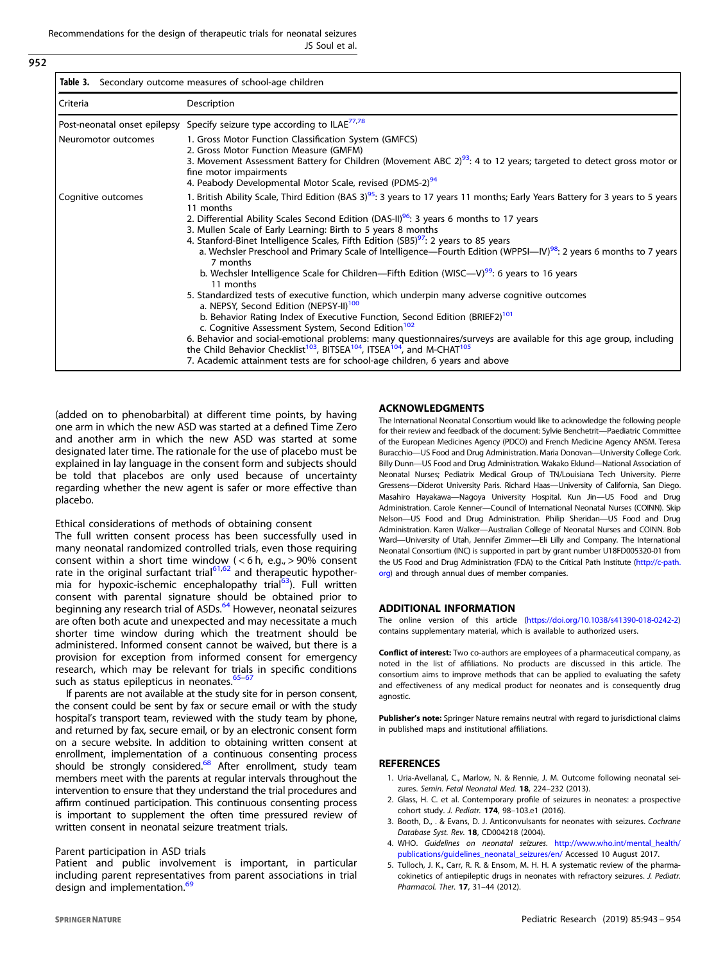<span id="page-11-0"></span>

| <b>Table 3.</b> Secondary outcome measures of school-age children |                                                                                                                                                                                                                                                                                                                                                                                                                                                                                                                                                                                                                                                                                                                                                                                                                                                                                                                                                                                                                                                                                                                                                                                                                                                                                                                                           |  |
|-------------------------------------------------------------------|-------------------------------------------------------------------------------------------------------------------------------------------------------------------------------------------------------------------------------------------------------------------------------------------------------------------------------------------------------------------------------------------------------------------------------------------------------------------------------------------------------------------------------------------------------------------------------------------------------------------------------------------------------------------------------------------------------------------------------------------------------------------------------------------------------------------------------------------------------------------------------------------------------------------------------------------------------------------------------------------------------------------------------------------------------------------------------------------------------------------------------------------------------------------------------------------------------------------------------------------------------------------------------------------------------------------------------------------|--|
| Criteria                                                          | Description                                                                                                                                                                                                                                                                                                                                                                                                                                                                                                                                                                                                                                                                                                                                                                                                                                                                                                                                                                                                                                                                                                                                                                                                                                                                                                                               |  |
|                                                                   | Post-neonatal onset epilepsy Specify seizure type according to ILAE <sup>77,78</sup>                                                                                                                                                                                                                                                                                                                                                                                                                                                                                                                                                                                                                                                                                                                                                                                                                                                                                                                                                                                                                                                                                                                                                                                                                                                      |  |
| Neuromotor outcomes                                               | 1. Gross Motor Function Classification System (GMFCS)<br>2. Gross Motor Function Measure (GMFM)<br>3. Movement Assessment Battery for Children (Movement ABC 2) <sup>93</sup> : 4 to 12 years; targeted to detect gross motor or<br>fine motor impairments<br>4. Peabody Developmental Motor Scale, revised (PDMS-2) <sup>94</sup>                                                                                                                                                                                                                                                                                                                                                                                                                                                                                                                                                                                                                                                                                                                                                                                                                                                                                                                                                                                                        |  |
| Cognitive outcomes                                                | 1. British Ability Scale, Third Edition (BAS 3) <sup>95</sup> : 3 years to 17 years 11 months; Early Years Battery for 3 years to 5 years<br>11 months<br>2. Differential Ability Scales Second Edition (DAS-II) <sup>96</sup> : 3 years 6 months to 17 years<br>3. Mullen Scale of Early Learning: Birth to 5 years 8 months<br>4. Stanford-Binet Intelligence Scales, Fifth Edition (SB5) <sup>97</sup> : 2 years to 85 years<br>a. Wechsler Preschool and Primary Scale of Intelligence—Fourth Edition (WPPSI—IV) <sup>98</sup> : 2 years 6 months to 7 years<br>7 months<br>b. Wechsler Intelligence Scale for Children—Fifth Edition (WISC—V) $^{99}$ : 6 years to 16 years<br>11 months<br>5. Standardized tests of executive function, which underpin many adverse cognitive outcomes<br>a. NEPSY, Second Edition (NEPSY-II) <sup>100</sup><br>b. Behavior Rating Index of Executive Function, Second Edition (BRIEF2) <sup>101</sup><br>c. Cognitive Assessment System, Second Edition <sup>102</sup><br>6. Behavior and social-emotional problems: many questionnaires/surveys are available for this age group, including the Child Behavior Checklist <sup>103</sup> , BITSEA <sup>104</sup> , ITSEA <sup>104</sup> , and M-CHAT <sup>105</sup><br>7. Academic attainment tests are for school-age children, 6 years and above |  |

(added on to phenobarbital) at different time points, by having one arm in which the new ASD was started at a defined Time Zero and another arm in which the new ASD was started at some designated later time. The rationale for the use of placebo must be explained in lay language in the consent form and subjects should be told that placebos are only used because of uncertainty regarding whether the new agent is safer or more effective than placebo.

#### Ethical considerations of methods of obtaining consent

The full written consent process has been successfully used in many neonatal randomized controlled trials, even those requiring consent within a short time window  $(< 6 h, e.g., > 90\%$  consent rate in the original surfactant trial<sup>[61,62](#page-12-0)</sup> and therapeutic hypothermia for hypoxic-ischemic encephalopathy trial<sup>63</sup>). Full written consent with parental signature should be obtained prior to beginning any research trial of ASDs.<sup>[64](#page-13-0)</sup> However, neonatal seizures are often both acute and unexpected and may necessitate a much shorter time window during which the treatment should be administered. Informed consent cannot be waived, but there is a provision for exception from informed consent for emergency research, which may be relevant for trials in specific conditions such as status epilepticus in neonates.<sup>[65](#page-13-0)-6</sup>

If parents are not available at the study site for in person consent, the consent could be sent by fax or secure email or with the study hospital's transport team, reviewed with the study team by phone, and returned by fax, secure email, or by an electronic consent form on a secure website. In addition to obtaining written consent at enrollment, implementation of a continuous consenting process should be strongly considered.<sup>[68](#page-13-0)</sup> After enrollment, study team members meet with the parents at regular intervals throughout the intervention to ensure that they understand the trial procedures and affirm continued participation. This continuous consenting process is important to supplement the often time pressured review of written consent in neonatal seizure treatment trials.

#### Parent participation in ASD trials

Patient and public involvement is important, in particular including parent representatives from parent associations in trial design and implementation.<sup>[69](#page-13-0)</sup>

#### **ACKNOWLEDGMENTS**

The International Neonatal Consortium would like to acknowledge the following people for their review and feedback of the document: Sylvie Benchetrit—Paediatric Committee of the European Medicines Agency (PDCO) and French Medicine Agency ANSM. Teresa Buracchio—US Food and Drug Administration. Maria Donovan—University College Cork. Billy Dunn—US Food and Drug Administration. Wakako Eklund—National Association of Neonatal Nurses; Pediatrix Medical Group of TN/Louisiana Tech University. Pierre Gressens—Diderot University Paris. Richard Haas—University of California, San Diego. Masahiro Hayakawa—Nagoya University Hospital. Kun Jin—US Food and Drug Administration. Carole Kenner—Council of International Neonatal Nurses (COINN). Skip Nelson—US Food and Drug Administration. Philip Sheridan—US Food and Drug Administration. Karen Walker—Australian College of Neonatal Nurses and COINN. Bob Ward—University of Utah, Jennifer Zimmer—Eli Lilly and Company. The International Neonatal Consortium (INC) is supported in part by grant number U18FD005320-01 from the US Food and Drug Administration (FDA) to the Critical Path Institute ([http://c-path.](http://c-path.org) [org\)](http://c-path.org) and through annual dues of member companies.

#### ADDITIONAL INFORMATION

The online version of this article (<https://doi.org/10.1038/s41390-018-0242-2>) contains supplementary material, which is available to authorized users.

Conflict of interest: Two co-authors are employees of a pharmaceutical company, as noted in the list of affiliations. No products are discussed in this article. The consortium aims to improve methods that can be applied to evaluating the safety and effectiveness of any medical product for neonates and is consequently drug agnostic.

Publisher's note: Springer Nature remains neutral with regard to jurisdictional claims in published maps and institutional affiliations.

#### **REFERENCES**

- 1. Uria-Avellanal, C., Marlow, N. & Rennie, J. M. Outcome following neonatal seizures. Semin. Fetal Neonatal Med. 18, 224-232 (2013).
- 2. Glass, H. C. et al. Contemporary profile of seizures in neonates: a prospective cohort study. J. Pediatr. 174, 98–103.e1 (2016).
- 3. Booth, D., . & Evans, D. J. Anticonvulsants for neonates with seizures. Cochrane Database Syst. Rev. 18, CD004218 (2004).
- 4. WHO. Guidelines on neonatal seizures. [http://www.who.int/mental\\_health/](http://www.who.int/mental_health/publications/guidelines_neonatal_seizures/en/) [publications/guidelines\\_neonatal\\_seizures/en/](http://www.who.int/mental_health/publications/guidelines_neonatal_seizures/en/) Accessed 10 August 2017.
- 5. Tulloch, J. K., Carr, R. R. & Ensom, M. H. H. A systematic review of the pharmacokinetics of antiepileptic drugs in neonates with refractory seizures. J. Pediatr. Pharmacol. Ther. 17, 31–44 (2012).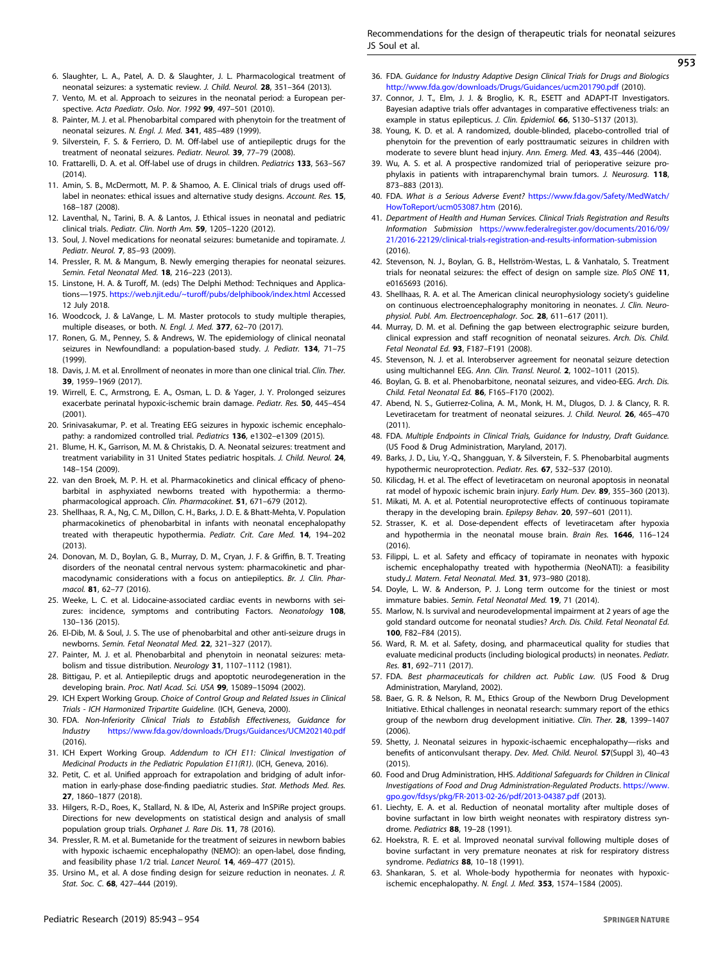- <span id="page-12-0"></span>6. Slaughter, L. A., Patel, A. D. & Slaughter, J. L. Pharmacological treatment of neonatal seizures: a systematic review. J. Child. Neurol. 28, 351–364 (2013).
- 7. Vento, M. et al. Approach to seizures in the neonatal period: a European perspective. Acta Paediatr. Oslo. Nor. 1992 99, 497-501 (2010).
- 8. Painter, M. J. et al. Phenobarbital compared with phenytoin for the treatment of neonatal seizures. N. Engl. J. Med. 341, 485–489 (1999).
- 9. Silverstein, F. S. & Ferriero, D. M. Off-label use of antiepileptic drugs for the treatment of neonatal seizures. Pediatr. Neurol. 39, 77-79 (2008)
- 10. Frattarelli, D. A. et al. Off-label use of drugs in children. Pediatrics 133, 563-567 (2014).
- 11. Amin, S. B., McDermott, M. P. & Shamoo, A. E. Clinical trials of drugs used offlabel in neonates: ethical issues and alternative study designs. Account. Res. 15, 168–187 (2008).
- 12. Laventhal, N., Tarini, B. A. & Lantos, J. Ethical issues in neonatal and pediatric clinical trials. Pediatr. Clin. North Am. 59, 1205–1220 (2012).
- 13. Soul, J. Novel medications for neonatal seizures: bumetanide and topiramate. J. Pediatr. Neurol. 7, 85–93 (2009).
- 14. Pressler, R. M. & Mangum, B. Newly emerging therapies for neonatal seizures. Semin. Fetal Neonatal Med. 18, 216–223 (2013).
- 15. Linstone, H. A. & Turoff, M. (eds) The Delphi Method: Techniques and Applications—1975. <https://web.njit.edu/~turoff/pubs/delphibook/index.html> Accessed 12 July 2018.
- 16. Woodcock, J. & LaVange, L. M. Master protocols to study multiple therapies, multiple diseases, or both. N. Engl. J. Med. 377, 62–70 (2017).
- 17. Ronen, G. M., Penney, S. & Andrews, W. The epidemiology of clinical neonatal seizures in Newfoundland: a population-based study. J. Pediatr. 134, 71-75 (1999).
- 18. Davis, J. M. et al. Enrollment of neonates in more than one clinical trial. Clin. Ther. 39, 1959–1969 (2017).
- 19. Wirrell, E. C., Armstrong, E. A., Osman, L. D. & Yager, J. Y. Prolonged seizures exacerbate perinatal hypoxic-ischemic brain damage. Pediatr. Res. 50, 445-454 (2001).
- 20. Srinivasakumar, P. et al. Treating EEG seizures in hypoxic ischemic encephalopathy: a randomized controlled trial. Pediatrics 136, e1302–e1309 (2015).
- 21. Blume, H. K., Garrison, M. M. & Christakis, D. A. Neonatal seizures: treatment and treatment variability in 31 United States pediatric hospitals. J. Child. Neurol. 24, 148–154 (2009).
- 22. van den Broek, M. P. H. et al. Pharmacokinetics and clinical efficacy of phenobarbital in asphyxiated newborns treated with hypothermia: a thermopharmacological approach. Clin. Pharmacokinet. 51, 671-679 (2012).
- 23. Shellhaas, R. A., Ng, C. M., Dillon, C. H., Barks, J. D. E. & Bhatt-Mehta, V. Population pharmacokinetics of phenobarbital in infants with neonatal encephalopathy treated with therapeutic hypothermia. Pediatr. Crit. Care Med. 14, 194-202 (2013).
- 24. Donovan, M. D., Boylan, G. B., Murray, D. M., Cryan, J. F. & Griffin, B. T. Treating disorders of the neonatal central nervous system: pharmacokinetic and pharmacodynamic considerations with a focus on antiepileptics. Br. J. Clin. Pharmacol. 81, 62–77 (2016).
- 25. Weeke, L. C. et al. Lidocaine-associated cardiac events in newborns with seizures: incidence, symptoms and contributing Factors. Neonatology 108, 130–136 (2015).
- 26. El-Dib, M. & Soul, J. S. The use of phenobarbital and other anti-seizure drugs in newborns. Semin. Fetal Neonatal Med. 22, 321–327 (2017).
- 27. Painter, M. J. et al. Phenobarbital and phenytoin in neonatal seizures: metabolism and tissue distribution. Neurology 31, 1107–1112 (1981).
- 28. Bittigau, P. et al. Antiepileptic drugs and apoptotic neurodegeneration in the developing brain. Proc. Natl Acad. Sci. USA 99, 15089–15094 (2002).
- 29. ICH Expert Working Group. Choice of Control Group and Related Issues in Clinical Trials - ICH Harmonized Tripartite Guideline. (ICH, Geneva, 2000).
- 30. FDA. Non-Inferiority Clinical Trials to Establish Effectiveness, Guidance for Industry <https://www.fda.gov/downloads/Drugs/Guidances/UCM202140.pdf> (2016).
- 31. ICH Expert Working Group. Addendum to ICH E11: Clinical Investigation of Medicinal Products in the Pediatric Population E11(R1). (ICH, Geneva, 2016).
- 32. Petit, C. et al. Unified approach for extrapolation and bridging of adult information in early-phase dose-finding paediatric studies. Stat. Methods Med. Res. 27, 1860–1877 (2018).
- 33. Hilgers, R.-D., Roes, K., Stallard, N. & IDe, Al, Asterix and InSPiRe project groups. Directions for new developments on statistical design and analysis of small population group trials. Orphanet J. Rare Dis. 11, 78 (2016).
- 34. Pressler, R. M. et al. Bumetanide for the treatment of seizures in newborn babies with hypoxic ischaemic encephalopathy (NEMO): an open-label, dose finding, and feasibility phase 1/2 trial. Lancet Neurol. 14, 469-477 (2015).
- 35. Ursino M., et al. A dose finding design for seizure reduction in neonates. J. R. Stat. Soc. C. 68, 427-444 (2019).
- 36. FDA. Guidance for Industry Adaptive Design Clinical Trials for Drugs and Biologics <http://www.fda.gov/downloads/Drugs/Guidances/ucm201790.pdf> (2010).
- 37. Connor, J. T., Elm, J. J. & Broglio, K. R., ESETT and ADAPT-IT Investigators. Bayesian adaptive trials offer advantages in comparative effectiveness trials: an example in status epilepticus. J. Clin. Epidemiol. 66, S130-S137 (2013).
- 38. Young, K. D. et al. A randomized, double-blinded, placebo-controlled trial of phenytoin for the prevention of early posttraumatic seizures in children with moderate to severe blunt head injury. Ann. Emerg. Med. 43, 435–446 (2004).
- 39. Wu, A. S. et al. A prospective randomized trial of perioperative seizure prophylaxis in patients with intraparenchymal brain tumors. J. Neurosurg. 118, 873–883 (2013).
- 40. FDA. What is a Serious Adverse Event? [https://www.fda.gov/Safety/MedWatch/](https://www.fda.gov/Safety/MedWatch/HowToReport/ucm053087.htm) [HowToReport/ucm053087.htm](https://www.fda.gov/Safety/MedWatch/HowToReport/ucm053087.htm) (2016).
- 41. Department of Health and Human Services. Clinical Trials Registration and Results Information Submission [https://www.federalregister.gov/documents/2016/09/](https://www.federalregister.gov/documents/2016/09/21/2016-22129/clinical-trials-registration-and-results-information-submission) [21/2016-22129/clinical-trials-registration-and-results-information-submission](https://www.federalregister.gov/documents/2016/09/21/2016-22129/clinical-trials-registration-and-results-information-submission)  $(2016)$
- 42. Stevenson, N. J., Boylan, G. B., Hellström-Westas, L. & Vanhatalo, S. Treatment trials for neonatal seizures: the effect of design on sample size. PloS ONE 11, e0165693 (2016).
- 43. Shellhaas, R. A. et al. The American clinical neurophysiology society's guideline on continuous electroencephalography monitoring in neonates. J. Clin. Neurophysiol. Publ. Am. Electroencephalogr. Soc. 28, 611–617 (2011).
- 44. Murray, D. M. et al. Defining the gap between electrographic seizure burden, clinical expression and staff recognition of neonatal seizures. Arch. Dis. Child. Fetal Neonatal Ed. 93, F187–F191 (2008).
- 45. Stevenson, N. J. et al. Interobserver agreement for neonatal seizure detection using multichannel EEG. Ann. Clin. Transl. Neurol. 2, 1002-1011 (2015).
- 46. Boylan, G. B. et al. Phenobarbitone, neonatal seizures, and video-EEG. Arch. Dis. Child. Fetal Neonatal Ed. 86, F165–F170 (2002).
- 47. Abend, N. S., Gutierrez-Colina, A. M., Monk, H. M., Dlugos, D. J. & Clancy, R. R. Levetiracetam for treatment of neonatal seizures. J. Child. Neurol. 26, 465–470 (2011).
- 48. FDA. Multiple Endpoints in Clinical Trials, Guidance for Industry, Draft Guidance. (US Food & Drug Administration, Maryland, 2017).
- 49. Barks, J. D., Liu, Y.-Q., Shangguan, Y. & Silverstein, F. S. Phenobarbital augments hypothermic neuroprotection. Pediatr. Res. 67, 532–537 (2010).
- 50. Kilicdag, H. et al. The effect of levetiracetam on neuronal apoptosis in neonatal rat model of hypoxic ischemic brain injury. Early Hum. Dev. 89, 355–360 (2013).
- 51. Mikati, M. A. et al. Potential neuroprotective effects of continuous topiramate therapy in the developing brain. Epilepsy Behav. 20, 597-601 (2011).
- 52. Strasser, K. et al. Dose-dependent effects of levetiracetam after hypoxia and hypothermia in the neonatal mouse brain. Brain Res. 1646, 116-124 (2016).
- 53. Filippi, L. et al. Safety and efficacy of topiramate in neonates with hypoxic ischemic encephalopathy treated with hypothermia (NeoNATI): a feasibility study.J. Matern. Fetal Neonatal. Med. 31, 973–980 (2018).
- 54. Doyle, L. W. & Anderson, P. J. Long term outcome for the tiniest or most immature babies. Semin. Fetal Neonatal Med. 19, 71 (2014).
- 55. Marlow, N. Is survival and neurodevelopmental impairment at 2 years of age the gold standard outcome for neonatal studies? Arch. Dis. Child. Fetal Neonatal Ed. 100, F82–F84 (2015).
- 56. Ward, R. M. et al. Safety, dosing, and pharmaceutical quality for studies that evaluate medicinal products (including biological products) in neonates. Pediatr. Res. 81, 692–711 (2017).
- 57. FDA. Best pharmaceuticals for children act. Public Law. (US Food & Drug Administration, Maryland, 2002).
- 58. Baer, G. R. & Nelson, R. M., Ethics Group of the Newborn Drug Development Initiative. Ethical challenges in neonatal research: summary report of the ethics group of the newborn drug development initiative. Clin. Ther. 28, 1399-1407 (2006).
- 59. Shetty, J. Neonatal seizures in hypoxic-ischaemic encephalopathy—risks and benefits of anticonvulsant therapy. Dev. Med. Child. Neurol. 57(Suppl 3), 40–43 (2015).
- 60. Food and Drug Administration, HHS. Additional Safeguards for Children in Clinical Investigations of Food and Drug Administration-Regulated Products. [https://www.](https://www.gpo.gov/fdsys/pkg/FR-2013-02-26/pdf/2013-04387.pdf) [gpo.gov/fdsys/pkg/FR-2013-02-26/pdf/2013-04387.pdf](https://www.gpo.gov/fdsys/pkg/FR-2013-02-26/pdf/2013-04387.pdf) (2013).
- 61. Liechty, E. A. et al. Reduction of neonatal mortality after multiple doses of bovine surfactant in low birth weight neonates with respiratory distress syndrome. Pediatrics 88, 19–28 (1991).
- 62. Hoekstra, R. E. et al. Improved neonatal survival following multiple doses of bovine surfactant in very premature neonates at risk for respiratory distress syndrome. Pediatrics 88, 10–18 (1991).
- 63. Shankaran, S. et al. Whole-body hypothermia for neonates with hypoxicischemic encephalopathy. N. Engl. J. Med. 353, 1574–1584 (2005).